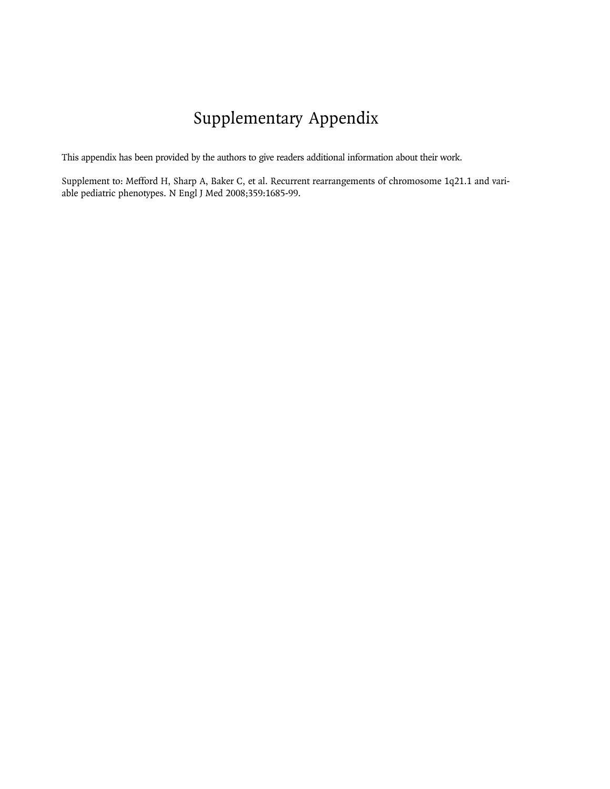# Supplementary Appendix

This appendix has been provided by the authors to give readers additional information about their work.

Supplement to: Mefford H, Sharp A, Baker C, et al. Recurrent rearrangements of chromosome 1q21.1 and variable pediatric phenotypes. N Engl J Med 2008;359:1685-99.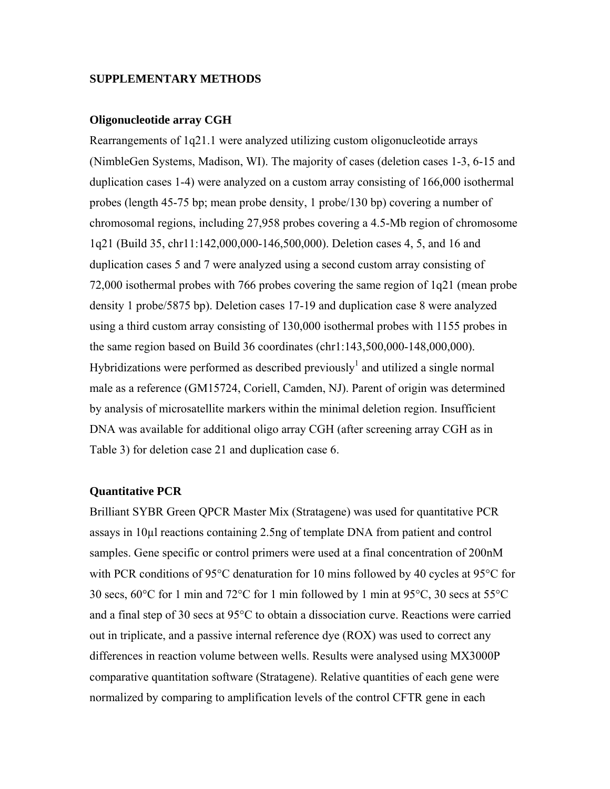#### **SUPPLEMENTARY METHODS**

#### **Oligonucleotide array CGH**

Rearrangements of 1q21.1 were analyzed utilizing custom oligonucleotide arrays (NimbleGen Systems, Madison, WI). The majority of cases (deletion cases 1-3, 6-15 and duplication cases 1-4) were analyzed on a custom array consisting of 166,000 isothermal probes (length 45-75 bp; mean probe density, 1 probe/130 bp) covering a number of chromosomal regions, including 27,958 probes covering a 4.5-Mb region of chromosome 1q21 (Build 35, chr11:142,000,000-146,500,000). Deletion cases 4, 5, and 16 and duplication cases 5 and 7 were analyzed using a second custom array consisting of 72,000 isothermal probes with 766 probes covering the same region of 1q21 (mean probe density 1 probe/5875 bp). Deletion cases 17-19 and duplication case 8 were analyzed using a third custom array consisting of 130,000 isothermal probes with 1155 probes in the same region based on Build 36 coordinates (chr1:143,500,000-148,000,000). Hybridizations were performed as described previously<sup>1</sup> and utilized a single normal male as a reference (GM15724, Coriell, Camden, NJ). Parent of origin was determined by analysis of microsatellite markers within the minimal deletion region. Insufficient DNA was available for additional oligo array CGH (after screening array CGH as in Table 3) for deletion case 21 and duplication case 6.

#### **Quantitative PCR**

Brilliant SYBR Green QPCR Master Mix (Stratagene) was used for quantitative PCR assays in 10µl reactions containing 2.5ng of template DNA from patient and control samples. Gene specific or control primers were used at a final concentration of 200nM with PCR conditions of 95°C denaturation for 10 mins followed by 40 cycles at 95°C for 30 secs, 60°C for 1 min and 72°C for 1 min followed by 1 min at 95°C, 30 secs at 55°C and a final step of 30 secs at 95°C to obtain a dissociation curve. Reactions were carried out in triplicate, and a passive internal reference dye (ROX) was used to correct any differences in reaction volume between wells. Results were analysed using MX3000P comparative quantitation software (Stratagene). Relative quantities of each gene were normalized by comparing to amplification levels of the control CFTR gene in each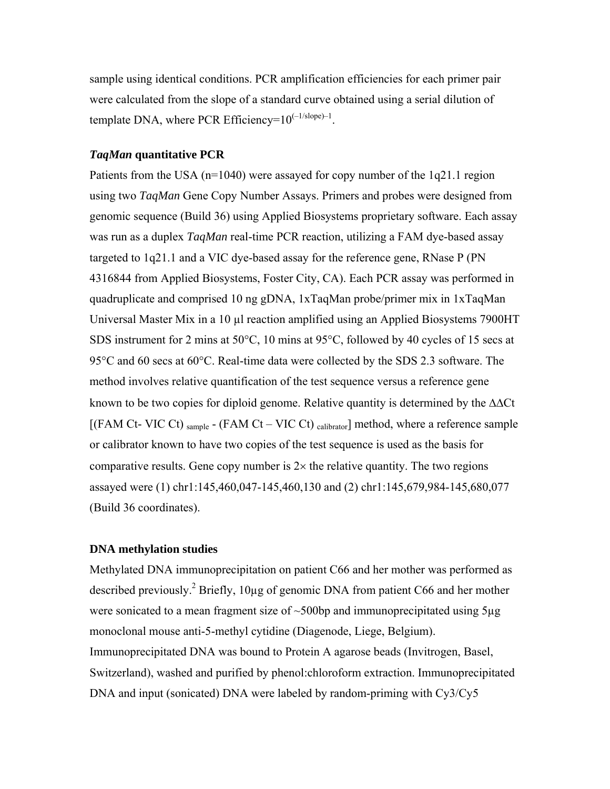sample using identical conditions. PCR amplification efficiencies for each primer pair were calculated from the slope of a standard curve obtained using a serial dilution of template DNA, where PCR Efficiency= $10^{(-1/\text{slope})-1}$ .

### *TaqMan* **quantitative PCR**

Patients from the USA (n=1040) were assayed for copy number of the 1q21.1 region using two *TaqMan* Gene Copy Number Assays. Primers and probes were designed from genomic sequence (Build 36) using Applied Biosystems proprietary software. Each assay was run as a duplex *TaqMan* real-time PCR reaction, utilizing a FAM dye-based assay targeted to 1q21.1 and a VIC dye-based assay for the reference gene, RNase P (PN 4316844 from Applied Biosystems, Foster City, CA). Each PCR assay was performed in quadruplicate and comprised 10 ng gDNA, 1xTaqMan probe/primer mix in 1xTaqMan Universal Master Mix in a 10 µl reaction amplified using an Applied Biosystems 7900HT SDS instrument for 2 mins at 50°C, 10 mins at 95°C, followed by 40 cycles of 15 secs at 95°C and 60 secs at 60°C. Real-time data were collected by the SDS 2.3 software. The method involves relative quantification of the test sequence versus a reference gene known to be two copies for diploid genome. Relative quantity is determined by the  $\Delta\Delta Ct$ [(FAM Ct- VIC Ct) sample - (FAM Ct – VIC Ct) calibrator] method, where a reference sample or calibrator known to have two copies of the test sequence is used as the basis for comparative results. Gene copy number is  $2\times$  the relative quantity. The two regions assayed were (1) chr1:145,460,047-145,460,130 and (2) chr1:145,679,984-145,680,077 (Build 36 coordinates).

#### **DNA methylation studies**

Methylated DNA immunoprecipitation on patient C66 and her mother was performed as described previously.<sup>2</sup> Briefly, 10 $\mu$ g of genomic DNA from patient C66 and her mother were sonicated to a mean fragment size of  $\sim$ 500bp and immunoprecipitated using 5 $\mu$ g monoclonal mouse anti-5-methyl cytidine (Diagenode, Liege, Belgium). Immunoprecipitated DNA was bound to Protein A agarose beads (Invitrogen, Basel, Switzerland), washed and purified by phenol:chloroform extraction. Immunoprecipitated DNA and input (sonicated) DNA were labeled by random-priming with Cy3/Cy5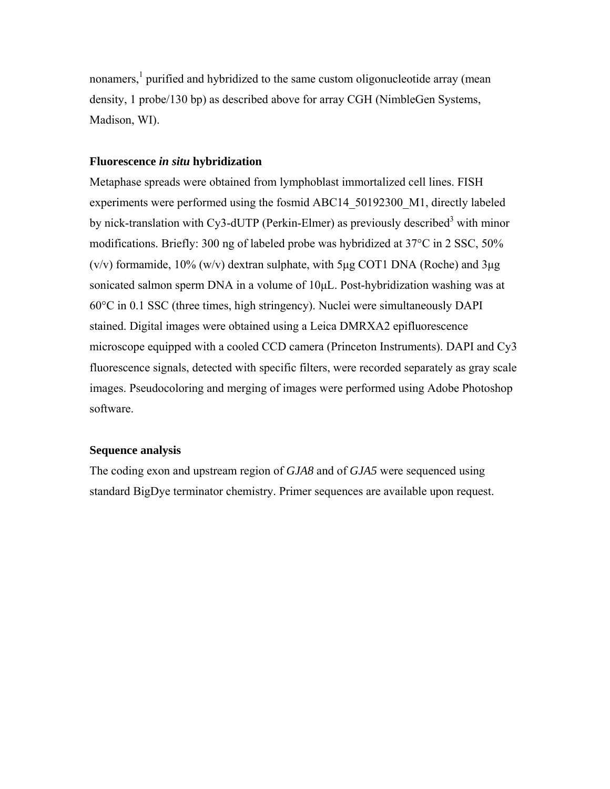nonamers,<sup>1</sup> purified and hybridized to the same custom oligonucleotide array (mean density, 1 probe/130 bp) as described above for array CGH (NimbleGen Systems, Madison, WI).

### **Fluorescence** *in situ* **hybridization**

Metaphase spreads were obtained from lymphoblast immortalized cell lines. FISH experiments were performed using the fosmid ABC14 50192300 M1, directly labeled by nick-translation with Cy3-dUTP (Perkin-Elmer) as previously described<sup>3</sup> with minor modifications. Briefly: 300 ng of labeled probe was hybridized at 37°C in 2 SSC, 50%  $(v/v)$  formamide, 10%  $(w/v)$  dextran sulphate, with 5μg COT1 DNA (Roche) and 3μg sonicated salmon sperm DNA in a volume of 10μL. Post-hybridization washing was at 60°C in 0.1 SSC (three times, high stringency). Nuclei were simultaneously DAPI stained. Digital images were obtained using a Leica DMRXA2 epifluorescence microscope equipped with a cooled CCD camera (Princeton Instruments). DAPI and Cy3 fluorescence signals, detected with specific filters, were recorded separately as gray scale images. Pseudocoloring and merging of images were performed using Adobe Photoshop software.

#### **Sequence analysis**

The coding exon and upstream region of *GJA8* and of *GJA5* were sequenced using standard BigDye terminator chemistry. Primer sequences are available upon request.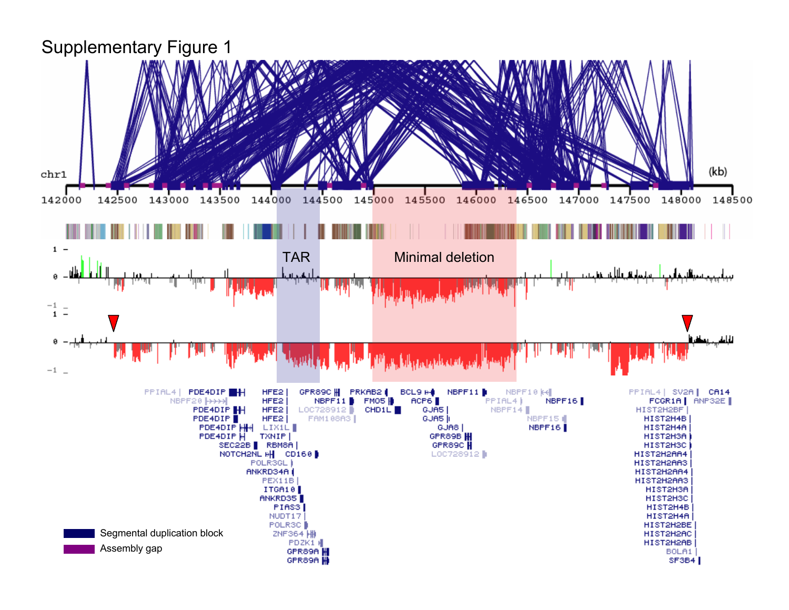#### Supplementary Figure 1(kb) chr1 144000 148000 142000 143000 143500 144500 145000 145500 146000 146500 147000 148500 142500 147500  $1 -$ TAR Minimal deletion **HALL** 0  $\frac{-1}{1}$  =  $-1$ HFE2 NBPF11 PPIAL4 | PDE4DIP GPR89C H PRKAB2 **BCL9 H** NBPF10 kd PPIAL4 | SV2A | CA14 FMOS<sup>1</sup>⊪ ACP6 NBPF20<sup>1</sup> HFE<sub>2</sub> NBPF11 PPIAL4) NBPF16 FCGR1A | ANP32E PDE4DIP<sup>H</sup> HFE<sub>2</sub> LOC728912 CHD1L **I** NBPF14 GUA5 HIST2H2BF **PDE4DIP** HFE<sub>2</sub> FAM1 08A3 GUAS || NBPF15 HIST2H4B PDE4DIP HH NBPF16 LIX1L GUA8 HIST2H4A PDE4DIP **TXNIP** HIST2H3A GPR89B H SEC22B RBM8A GPR89C<sup>H</sup> HIST2H3C NOTCH2NL # CD160 LOC728912 | HIST2H2AA4 POLRSGL | HIST2H2AA3 ANKRD34A HIST2H2AA4 PEX11B HIST2H2AA3 ITGA18 HIST2H3A ANKRD35 HIST2H3C PIAS3 HIST2H4B NUDT17 HIST2H4A POLR3C HIST2H2BE Segmental duplication block ZNF364 | H HIST2H2AC PDZK1 H HIST2H2AB Assembly gap

BOLA1

SF3B4

GPR89A H

GPR89A H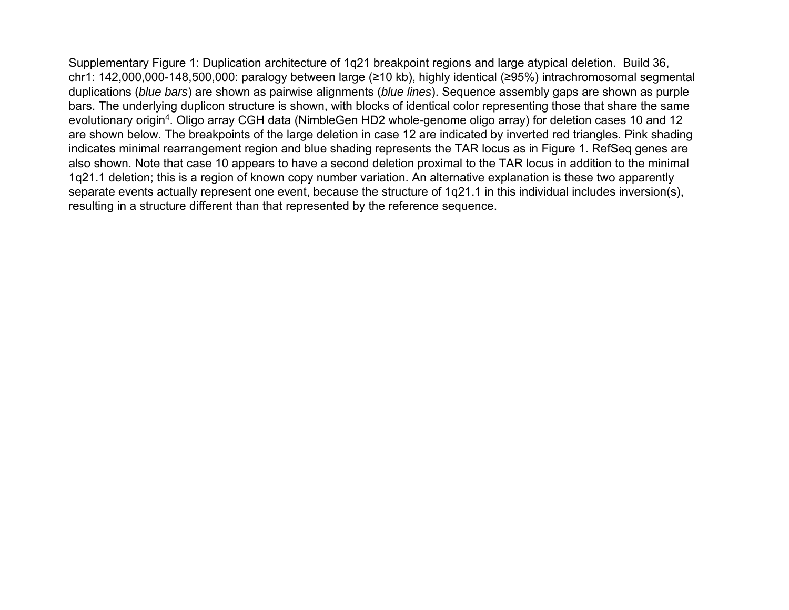Supplementary Figure 1: Duplication architecture of 1q21 breakpoint regions and large atypical deletion. Build 36, chr1: 142,000,000-148,500,000: paralogy between large (≥10 kb), highly identical (≥95%) intrachromosomal segmental duplications (*blue bars*) are shown as pairwise alignments (*blue lines*). Sequence assembly gaps are shown as purple bars. The underlying duplicon structure is shown, with blocks of identical color representing those that share the same evolutionary origin4. Oligo array CGH data (NimbleGen HD2 whole-genome oligo array) for deletion cases 10 and 12 are shown below. The breakpoints of the large deletion in case 12 are indicated by inverted red triangles. Pink shading indicates minimal rearrangement region and blue shading represents the TAR locus as in Figure 1. RefSeq genes are also shown. Note that case 10 appears to have a second deletion proximal to the TAR locus in addition to the minimal 1q21.1 deletion; this is a region of known copy number variation. An alternative explanation is these two apparently separate events actually represent one event, because the structure of 1q21.1 in this individual includes inversion(s), resulting in a structure different than that represented by the reference sequence.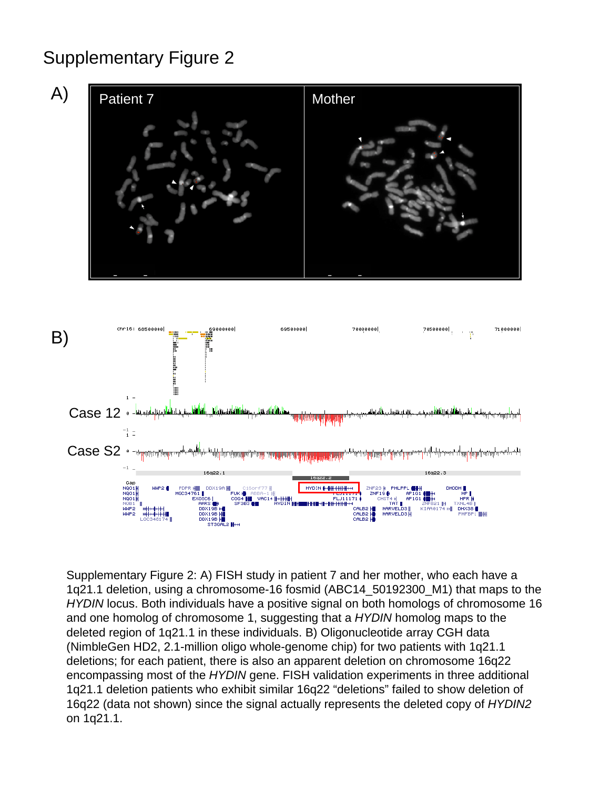## Supplementary Figure 2





Supplementary Figure 2: A) FISH study in patient 7 and her mother, who each have a 1q21.1 deletion, using a chromosome-16 fosmid (ABC14\_50192300\_M1) that maps to the *HYDIN* locus. Both individuals have a positive signal on both homologs of chromosome 16 and one homolog of chromosome 1, suggesting that a *HYDIN* homolog maps to the deleted region of 1q21.1 in these individuals. B) Oligonucleotide array CGH data (NimbleGen HD2, 2.1-million oligo whole-genome chip) for two patients with 1q21.1 deletions; for each patient, there is also an apparent deletion on chromosome 16q22 encompassing most of the *HYDIN* gene. FISH validation experiments in three additional 1q21.1 deletion patients who exhibit similar 16q22 "deletions" failed to show deletion of 16q22 (data not shown) since the signal actually represents the deleted copy of *HYDIN2*  on 1q21.1.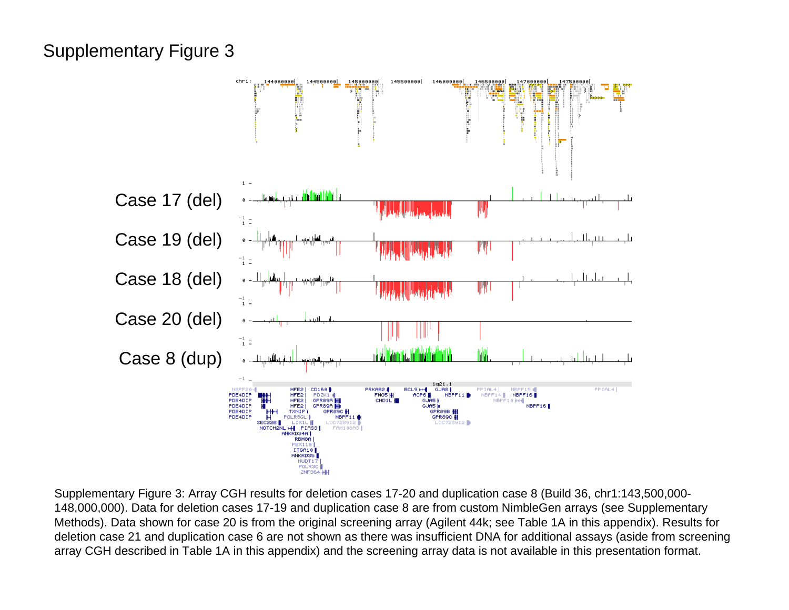### Supplementary Figure 3



Supplementary Figure 3: Array CGH results for deletion cases 17-20 and duplication case 8 (Build 36, chr1:143,500,000- 148,000,000). Data for deletion cases 17-19 and duplication case 8 are from custom NimbleGen arrays (see Supplementary Methods). Data shown for case 20 is from the original screening array (Agilent 44k; see Table 1A in this appendix). Results for deletion case 21 and duplication case 6 are not shown as there was insufficient DNA for additional assays (aside from screening array CGH described in Table 1A in this appendix) and the screening array data is not available in this presentation format.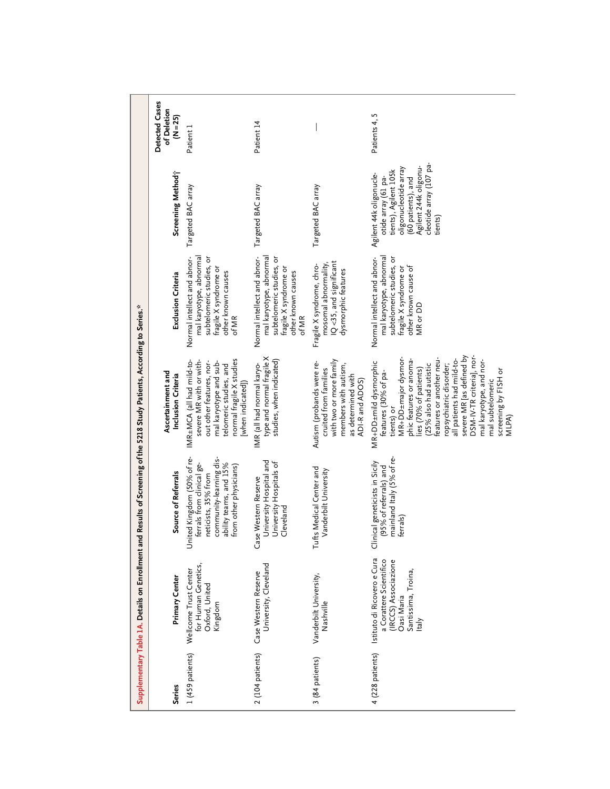|                                                                                                                          | Detected Cases<br>of Deletion<br>$(N=25)$ | Patient 1                                                                                                                                                                             | Patient 14                                                                                                                                 |                                                                                                                                                | L<br>Patients 4,                                                                                                                                                                                                                                                                                                                                                                             |
|--------------------------------------------------------------------------------------------------------------------------|-------------------------------------------|---------------------------------------------------------------------------------------------------------------------------------------------------------------------------------------|--------------------------------------------------------------------------------------------------------------------------------------------|------------------------------------------------------------------------------------------------------------------------------------------------|----------------------------------------------------------------------------------------------------------------------------------------------------------------------------------------------------------------------------------------------------------------------------------------------------------------------------------------------------------------------------------------------|
|                                                                                                                          | Screening Method?                         | Targeted BAC array                                                                                                                                                                    | Targeted BAC array                                                                                                                         | Targeted BAC array                                                                                                                             | cleotide array (107 pa-<br>Agilent 244k oligonu-<br>oligonucleotide array<br>tients), Agilent 105k<br>Agilent 44k oligonucle-<br>otide array (61 pa-<br>(60 patients), and<br>tients)                                                                                                                                                                                                        |
|                                                                                                                          | Exclusion Criteria                        | mal karyotype, abnormal<br>Normal intellect and abnor-<br>subtelomeric studies, or<br>fragile X syndrome or<br>other known causes<br>of MR                                            | mal karyotype, abnormal<br>Normal intellect and abnor-<br>subtelomeric studies, or<br>fragile X syndrome or<br>other known causes<br>of MR | IQ<35, and significant<br>mosomal abnormality,<br>Fragile X syndrome, chro-<br>dysmorphic features                                             | mal karyotype, abnormal<br>Normal intellect and abnor-<br>subtelomeric studies, or<br>other known cause of<br>fragile X syndrome or<br>MR or DD                                                                                                                                                                                                                                              |
|                                                                                                                          | Ascertainment and<br>Inclusion Criteria   | normal fragile X studies<br>severe MR with or with-<br>IMR±MCA (all had mild-to-<br>out other features, nor-<br>mal karyotype and sub-<br>telomeric studies, and<br>[when indicated]) | type and normal fragile X<br>studies, when indicated)<br>IMR (all had normal karyo-                                                        | with two or more family<br>Autism (probands were re-<br>members with autism,<br>cruited from families<br>as determined with<br>ADI-R and ADOS) | severe MR [as defined by<br>DSM-IV-TR criteria], nor-<br>MR+DD±major dysmor-<br>phic features or anoma-<br>features or another neu-<br>all patients had mild-to-<br>mal karyotype, and nor-<br>MR+DD±mild dysmorphic<br>ropsychiatric disorder;<br>25% also had autistic<br>ies (70% of patients)<br>screening by FISH or<br>features (30% of pa-<br>mal subtelomeric<br>tients) or<br>MLPA) |
| Supplementary Table LA. Details on Enrollment and Results of Screening of the 5218 Study Patients, According to Series." | Source of Referrals                       | United Kingdom (50% of re-<br>community-learning dis-<br>ability teams, and 15%<br>ferrals from clinical ge-<br>from other physicians)<br>neticists, 35% from                         | University Hospital and<br>University Hospitals of<br>Case Western Reserve<br>Cleveland                                                    | <b>Ifts Medical Center and</b><br>Vanderbilt University<br>片                                                                                   | mainland Italy (5% of re-<br>Clinical geneticists in Sicily<br>(95% of referrals) and<br>ferrals)                                                                                                                                                                                                                                                                                            |
|                                                                                                                          | Primary Center                            | for Human Genetics,<br>Wellcome Trust Center<br>Oxford, United<br>Kingdom                                                                                                             | University, Cleveland<br>Case Western Reserve                                                                                              | Vanderbilt University,<br>Nashville                                                                                                            | Istituto di Ricovero e Cura<br>a Corattere Scientifico<br>(IRCCS) Associazione<br>Santissima, Troina,<br>Oasi Maria<br>Italy                                                                                                                                                                                                                                                                 |
|                                                                                                                          | <b>Series</b>                             | 1 (459 patients)                                                                                                                                                                      | 2 (104 patients)                                                                                                                           | 3 (84 patients)                                                                                                                                | 4 (228 patients)                                                                                                                                                                                                                                                                                                                                                                             |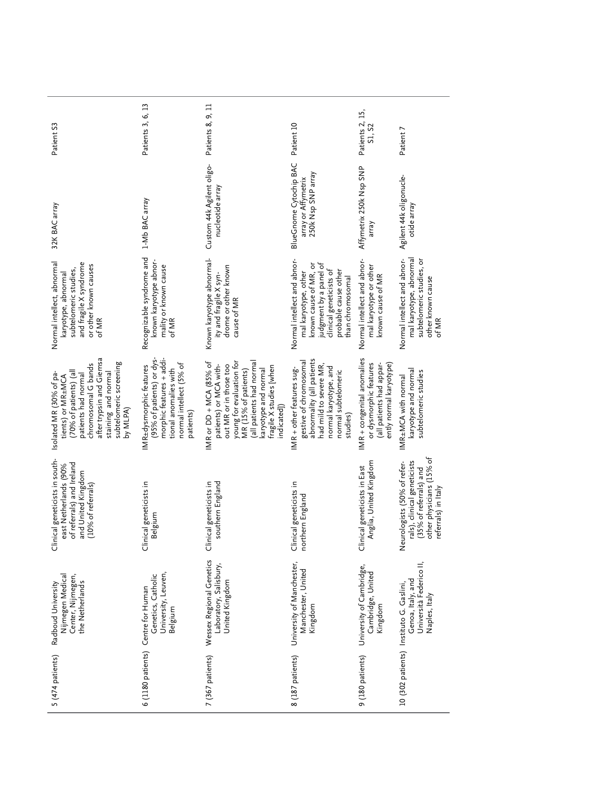| Patient S3                                                                                                                                                                                                                                                                                                        | Patients 3, 6, 13                                                                                                                                 | Patients 8, 9, 11                                                                                                                                                                                                             | Patient 10                                                                                                                                                                    | Patients 2, 15,<br>S1, S2                                                                                   | Patient 7                                                                                                                               |
|-------------------------------------------------------------------------------------------------------------------------------------------------------------------------------------------------------------------------------------------------------------------------------------------------------------------|---------------------------------------------------------------------------------------------------------------------------------------------------|-------------------------------------------------------------------------------------------------------------------------------------------------------------------------------------------------------------------------------|-------------------------------------------------------------------------------------------------------------------------------------------------------------------------------|-------------------------------------------------------------------------------------------------------------|-----------------------------------------------------------------------------------------------------------------------------------------|
| 32K BAC array                                                                                                                                                                                                                                                                                                     | 1-Mb BAC array                                                                                                                                    | Custom 44k Agilent oligo-<br>nucleotide array                                                                                                                                                                                 | BlueGnome Cytochip BAC<br>250k Nsp SNP array<br>array or Affymetrix                                                                                                           | Affymetrix 250k Nsp SNP<br>array                                                                            | Agilent 44k oligonucle-<br>otide array                                                                                                  |
| Normal intellect, abnormal<br>and fragile X syndrome<br>or other known causes<br>subtelomeric studies,<br>karyotype, abnormal<br>of MR                                                                                                                                                                            | Recognizable syndrome and<br>known karyotype abnor-<br>mality or known cause<br>of MR                                                             | Known karyotype abnormal-<br>drome or other known<br>ity and fragile X syn-<br>cause of MR                                                                                                                                    | Normal intellect and abnor-<br>judgment by a panel of<br>known cause of MR, or<br>clinical geneticists of<br>probable cause other<br>mal karyotype, other<br>than chromosomal | Normal intellect and abnor-<br>mal karyotype or other<br>known cause of MR                                  | mal karyotype, abnormal<br>Normal intellect and abnor-<br>subtelomeric studies, or<br>other known cause<br>of MR                        |
| after trypsin and Giemsa<br>staining and normal<br>subtelomeric screening<br>chromosomal G bands<br>(70% of patients) (all<br>Isolated MR (30% of pa-<br>patients had normal<br>tients) or MR±MCA<br>by MLPA)                                                                                                     | morphic features + addi-<br>(95% of patients) or dys-<br>normal intellect (5% of<br>IMR±dysmorphic features<br>tional anomalies with<br>patients) | young for evaluation for<br>MR (15% of patients)<br>(all patients had normal<br>IMR or DD + MCA (85% of<br>patients) or MCA with-<br>out MR or in those too<br>fragile X studies [when<br>karyotype and normal<br>indicated]) | abnormality (all patients<br>gestive of chromosomal<br>had mild to severe MR,<br>normal karyotype, and<br>IMR + other features sug-<br>normal subtelomeric<br>studies)        | IMR + congenital anomalies<br>or dysmorphic features<br>ently normal karyotype)<br>(all patients had appar- | karyotype and normal<br>subtelomeric studies<br>IMR±MCA with normal                                                                     |
| Clinical geneticists in south-<br>المعالج المستعمر ون المعالج المعالج المعالج المعالج المعالج (90%)<br>Treferral معالج المعالج المعالج<br>Treferral of the control of the control of the control of the control of the control of the control of the control of the c<br>and United Kingdom<br>(10% of referrals) | Clinical geneticists in<br>Belgium                                                                                                                | southern England<br>Clinical geneticists in                                                                                                                                                                                   | Clinical geneticists in<br>northern England                                                                                                                                   | Anglia, United Kingdom<br>Clinical geneticists in East                                                      | other physicians (15% of<br>rals), clinical geneticists<br>Neurologists (50% of refer-<br>(35% of referrals) and<br>referrals) in Italy |
| Nijmegen Medical<br>Center, Nijmegen,<br>the Netherlands<br>Radboud University                                                                                                                                                                                                                                    | University, Leuven,<br>Genetics, Catholic<br>6 (1180 patients) Centre for Human<br>Belgium                                                        | Wessex Regional Genetics<br>Laboratory, Salisbury,<br>United Kingdom                                                                                                                                                          | University of Manchester,<br>Manchester, United<br>Kingdom                                                                                                                    | University of Cambridge,<br>Cambridge, United<br>Kingdom                                                    | Università Federico II,<br>Genoa, Italy, and<br>10 (302 patients) Instituto G. Gaslini,<br>Naples, Italy                                |
| 5 (474 patients)                                                                                                                                                                                                                                                                                                  |                                                                                                                                                   | 7 (367 patients)                                                                                                                                                                                                              | 8 (187 patients)                                                                                                                                                              | 9 (180 patients)                                                                                            |                                                                                                                                         |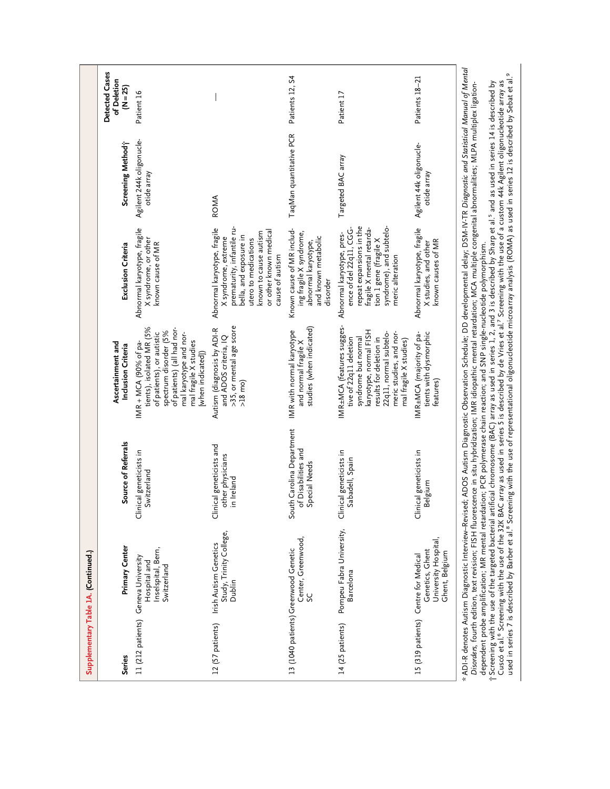|                   | Supplementary Table 1A. (Continued.)                                                              |                                                                                                                                                                                                                                                                                                                                                                                                                                                                                                                                                                                                                                                                                                                                                                                                                                        |                                                                                                                                                                                                                |                                                                                                                                                                                                          |                                         |                                             |
|-------------------|---------------------------------------------------------------------------------------------------|----------------------------------------------------------------------------------------------------------------------------------------------------------------------------------------------------------------------------------------------------------------------------------------------------------------------------------------------------------------------------------------------------------------------------------------------------------------------------------------------------------------------------------------------------------------------------------------------------------------------------------------------------------------------------------------------------------------------------------------------------------------------------------------------------------------------------------------|----------------------------------------------------------------------------------------------------------------------------------------------------------------------------------------------------------------|----------------------------------------------------------------------------------------------------------------------------------------------------------------------------------------------------------|-----------------------------------------|---------------------------------------------|
| <b>Series</b>     | Primary Center                                                                                    | Source of Referrals                                                                                                                                                                                                                                                                                                                                                                                                                                                                                                                                                                                                                                                                                                                                                                                                                    | Ascertainment and<br>Inclusion Criteria                                                                                                                                                                        | Exclusion Criteria                                                                                                                                                                                       | Screening Methodi <sup>-</sup>          | Detected Cases<br>of Deletion<br>$(N = 25)$ |
| 11 (212 patients) | Inselspital, Bern,<br>Geneva University<br>Hospital and<br>Switzerland                            | Clinical geneticists in<br>Switzerland                                                                                                                                                                                                                                                                                                                                                                                                                                                                                                                                                                                                                                                                                                                                                                                                 | tients), isolated MR (5%<br>of patients) (all had nor-<br>spectrum disorder (5%<br>of patients), or autistic<br>mal karyotype and nor-<br>mal fragile X studies<br>IMR + MCA (90% of pa-<br>[when indicated])  | Abnormal karyotype, fragile<br>X syndrome, or other<br>known cause of MR                                                                                                                                 | Agilent 244k oligonucle-<br>otide array | Patient 16                                  |
| 12 (57 patients)  | Study, Trinity College,<br>Irish Autism Genetics<br>Dublin                                        | Clinical geneticists and<br>other physicians<br>in Ireland                                                                                                                                                                                                                                                                                                                                                                                                                                                                                                                                                                                                                                                                                                                                                                             | >35, or mental age score<br>Autism (diagnosis by ADI-R<br>and ADOS criteria, IQ<br>$>18$ mo)                                                                                                                   | prematurity, infantile ru-<br>Abnormal karyotype, fragile<br>or other known medical<br>known to cause autism<br>bella, and exposure in<br>X syndrome, extreme<br>utero to medications<br>cause of autism | ROMA                                    |                                             |
|                   | Center, Greenwood,<br>13 (1040 patients) Greenwood Genetic<br>ပ္တ                                 | South Carolina Department<br>of Disabilities and<br>Special Needs                                                                                                                                                                                                                                                                                                                                                                                                                                                                                                                                                                                                                                                                                                                                                                      | studies (when indicated)<br>IMR with normal karyotype<br>and normal fragile X                                                                                                                                  | Known cause of MR includ-<br>ing fragile X syndrome,<br>and known metabolic<br>abnormal karyotype,<br>disorder                                                                                           | TaqMan quantitative PCR                 | Patients 12, S4                             |
| 14 (25 patients)  | Pompeu Fabra University,<br>Barcelona                                                             | Clinical geneticists in<br>Sabadell, Spain                                                                                                                                                                                                                                                                                                                                                                                                                                                                                                                                                                                                                                                                                                                                                                                             | IMR±MCA (features sugges-<br>karyotype, normal FISH<br>meric studies, and nor-<br>22q11, normal subtelo-<br>results for deletion in<br>syndrome but normal<br>tive of 22q11 deletion<br>mal fragile X studies) | repeat expansions in the<br>syndrome), and subtelo-<br>ence of del 22q11, CGG-<br>fragile X mental retarda-<br>Abnormal karyotype, pres-<br>tion 1 gene (fragile X<br>meric alteration                   | Targeted BAC array                      | Patient 17                                  |
|                   | University Hospital,<br>Genetics, Ghent<br>Ghent, Belgium<br>15 (319 patients) Centre for Medical | Clinical geneticists in<br>Belgium                                                                                                                                                                                                                                                                                                                                                                                                                                                                                                                                                                                                                                                                                                                                                                                                     | tients with dysmorphic<br>IMR±MCA (majority of pa-<br>features)                                                                                                                                                | Abnormal karyotype, fragile<br>known causes of MR<br>X studies, and other                                                                                                                                | Agilent 44k oligonucle-<br>otide array  | Patients 18-21                              |
|                   |                                                                                                   | * ADI-R denotes Autism Diagnostic Interview–Revised; ADOS Autism Diagnostic Observation Schedule; DD developmental delay; DSM-IV-TR <i>Diagnostic and Statistical Manual of Mental</i><br>Cuscó et al. <sup>6</sup> Screening with the use of the 32K BAC array as used in series 5 is described by de Vries et al. <sup>7</sup> Screening with the use of a custom 44k Agilent oligonucleotide array as<br>dependent probe amplification; MR mental retardation; PCR polymerase chain reaction; and SNP single-nucleotide polymorphism.<br>† Screening with the use of the targeted bacterial artificial chromosome (BAC) array as used in s<br>Disorders, fourth edition, text revision; FISH fluorescence in situ hybridization; IMR idiopathic mental retardation; MCA multiple congenital abnormalities; MLPA multiplex ligation- |                                                                                                                                                                                                                |                                                                                                                                                                                                          |                                         |                                             |

used in series 7 is described by Barber et al.<sup>8</sup> Screening with the use of representational oligonucleotide microarray analysis (ROMA) as used in series 12 is described by Sebat et al.<sup>9</sup>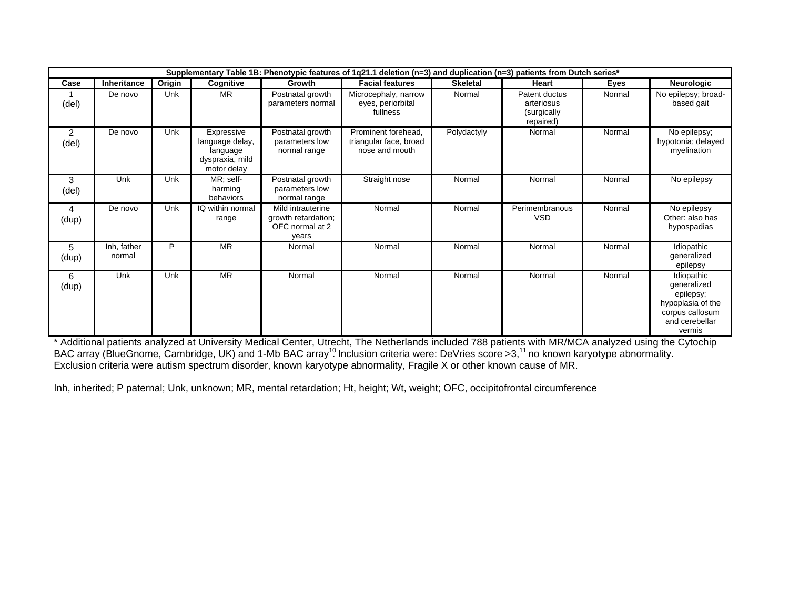|                         |                       |            |                                                                             |                                                                      | Supplementary Table 1B: Phenotypic features of 1q21.1 deletion (n=3) and duplication (n=3) patients from Dutch series* |                 |                                                         |        |                                                                                                            |
|-------------------------|-----------------------|------------|-----------------------------------------------------------------------------|----------------------------------------------------------------------|------------------------------------------------------------------------------------------------------------------------|-----------------|---------------------------------------------------------|--------|------------------------------------------------------------------------------------------------------------|
| Case                    | Inheritance           | Origin     | Cognitive                                                                   | Growth                                                               | <b>Facial features</b>                                                                                                 | <b>Skeletal</b> | Heart                                                   | Eyes   | <b>Neurologic</b>                                                                                          |
| (del)                   | De novo               | Unk        | <b>MR</b>                                                                   | Postnatal growth<br>parameters normal                                | Microcephaly, narrow<br>eyes, periorbital<br>fullness                                                                  | Normal          | Patent ductus<br>arteriosus<br>(surgically<br>repaired) | Normal | No epilepsy; broad-<br>based gait                                                                          |
| $\overline{2}$<br>(del) | De novo               | Unk        | Expressive<br>language delay,<br>language<br>dyspraxia, mild<br>motor delay | Postnatal growth<br>parameters low<br>normal range                   | Prominent forehead.<br>triangular face, broad<br>nose and mouth                                                        | Polydactyly     | Normal                                                  | Normal | No epilepsy;<br>hypotonia; delayed<br>myelination                                                          |
| 3<br>(del)              | Unk                   | Unk        | MR; self-<br>harming<br>behaviors                                           | Postnatal growth<br>parameters low<br>normal range                   | Straight nose                                                                                                          | Normal          | Normal                                                  | Normal | No epilepsy                                                                                                |
| 4<br>(dup)              | De novo               | Unk        | IQ within normal<br>range                                                   | Mild intrauterine<br>growth retardation;<br>OFC normal at 2<br>years | Normal                                                                                                                 | Normal          | Perimembranous<br><b>VSD</b>                            | Normal | No epilepsy<br>Other: also has<br>hypospadias                                                              |
| 5<br>(dup)              | Inh, father<br>normal | P          | <b>MR</b>                                                                   | Normal                                                               | Normal                                                                                                                 | Normal          | Normal                                                  | Normal | Idiopathic<br>generalized<br>epilepsy                                                                      |
| 6<br>(dup)              | Unk                   | <b>Unk</b> | <b>MR</b>                                                                   | Normal                                                               | Normal                                                                                                                 | Normal          | Normal                                                  | Normal | Idiopathic<br>generalized<br>epilepsy;<br>hypoplasia of the<br>corpus callosum<br>and cerebellar<br>vermis |

vermis \* Additional patients analyzed at University Medical Center, Utrecht, The Netherlands included 788 patients with MR/MCA analyzed using the Cytochip BAC array (BlueGnome, Cambridge, UK) and 1-Mb BAC array<sup>10</sup> Inclusion criteria were: DeVries score >3,<sup>11</sup> no known karyotype abnormality. Exclusion criteria were autism spectrum disorder, known karyotype abnormality, Fragile X or other known cause of MR.

Inh, inherited; P paternal; Unk, unknown; MR, mental retardation; Ht, height; Wt, weight; OFC, occipitofrontal circumference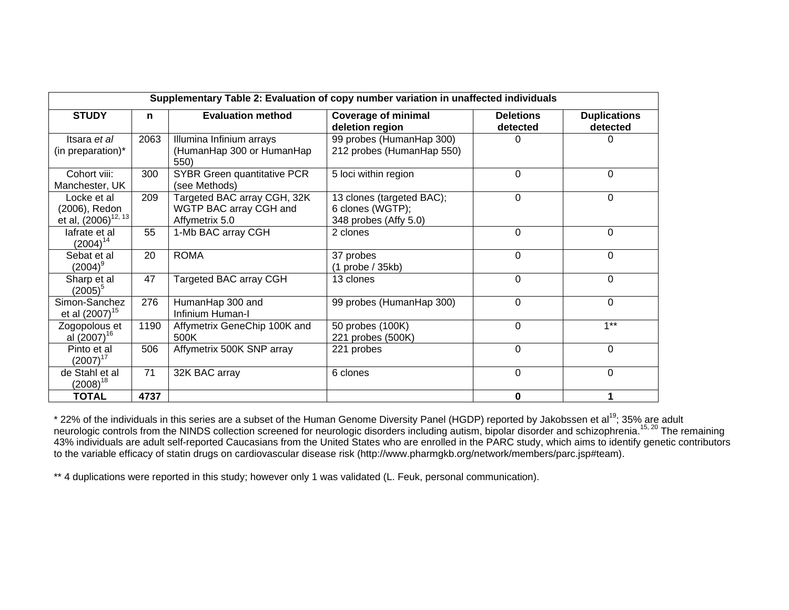|                                                                 |      | Supplementary Table 2: Evaluation of copy number variation in unaffected individuals |                                                                        |                              |                                 |
|-----------------------------------------------------------------|------|--------------------------------------------------------------------------------------|------------------------------------------------------------------------|------------------------------|---------------------------------|
| <b>STUDY</b>                                                    | n    | <b>Evaluation method</b>                                                             | <b>Coverage of minimal</b><br>deletion region                          | <b>Deletions</b><br>detected | <b>Duplications</b><br>detected |
| Itsara et al<br>(in preparation)*                               | 2063 | Illumina Infinium arrays<br>(HumanHap 300 or HumanHap<br>550)                        | 99 probes (HumanHap 300)<br>212 probes (HumanHap 550)                  | 0                            |                                 |
| Cohort viii:<br>Manchester, UK                                  | 300  | SYBR Green quantitative PCR<br>(see Methods)                                         | 5 loci within region                                                   | $\Omega$                     | $\Omega$                        |
| Locke et al<br>(2006), Redon<br>et al, (2006) <sup>12, 13</sup> | 209  | Targeted BAC array CGH, 32K<br>WGTP BAC array CGH and<br>Affymetrix 5.0              | 13 clones (targeted BAC);<br>6 clones (WGTP);<br>348 probes (Affy 5.0) | $\Omega$                     | 0                               |
| lafrate et al<br>$(2004)^{14}$                                  | 55   | 1-Mb BAC array CGH                                                                   | 2 clones                                                               | $\Omega$                     | 0                               |
| Sebat et al<br>$(2004)^9$                                       | 20   | <b>ROMA</b>                                                                          | 37 probes<br>$(1$ probe $/$ 35kb)                                      | $\mathbf 0$                  | $\Omega$                        |
| Sharp et al<br>$(2005)^5$                                       | 47   | Targeted BAC array CGH                                                               | 13 clones                                                              | $\Omega$                     | $\Omega$                        |
| Simon-Sanchez<br>et al (2007) <sup>15</sup>                     | 276  | HumanHap 300 and<br>Infinium Human-I                                                 | 99 probes (HumanHap 300)                                               | $\Omega$                     | 0                               |
| Zogopolous et<br>al (2007) <sup>16</sup>                        | 1190 | Affymetrix GeneChip 100K and<br>500K                                                 | 50 probes (100K)<br>221 probes (500K)                                  | $\Omega$                     | $1**$                           |
| Pinto et al<br>$(2007)^{17}$                                    | 506  | Affymetrix 500K SNP array                                                            | 221 probes                                                             | $\Omega$                     | $\Omega$                        |
| de Stahl et al<br>$(2008)^{18}$                                 | 71   | 32K BAC array                                                                        | 6 clones                                                               | 0                            | $\Omega$                        |
| <b>TOTAL</b>                                                    | 4737 |                                                                                      |                                                                        | 0                            |                                 |

\* 22% of the individuals in this series are a subset of the Human Genome Diversity Panel (HGDP) reported by Jakobssen et al<sup>19</sup>; 35% are adult neurologic controls from the NINDS collection screened for neurologic disorders including autism, bipolar disorder and schizophrenia.<sup>15, 20</sup> The remaining 43% individuals are adult self-reported Caucasians from the United States who are enrolled in the PARC study, which aims to identify genetic contributors to the variable efficacy of statin drugs on cardiovascular disease risk (http://www.pharmgkb.org/network/members/parc.jsp#team).

\*\* 4 duplications were reported in this study; however only 1 was validated (L. Feuk, personal communication).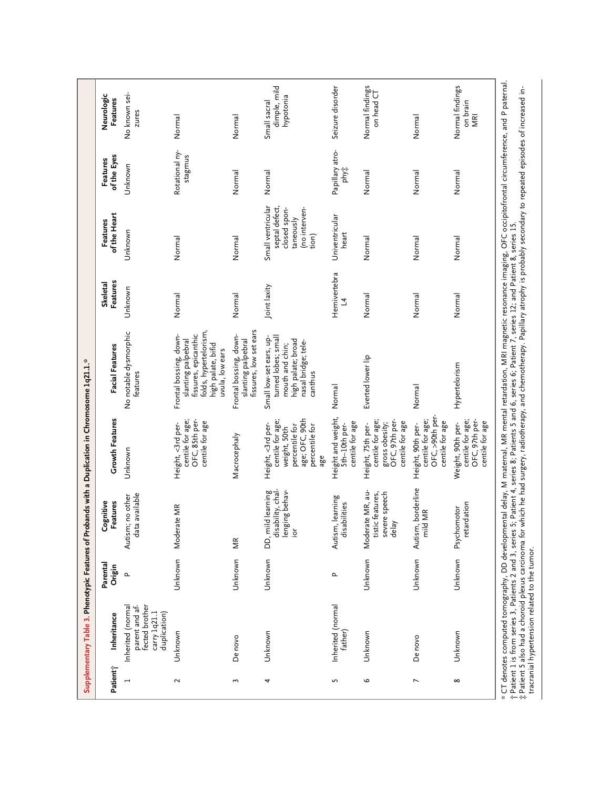|          |                                                                                       |                   | Supplementary Table 3. Phenotypic Features of Probands with a Duplication in Chromosome 1q21.1.* |                                                                                                                    |                                                                                                                                                                                                                                                                                                                                            |                      |                                                                                            |                                |                                           |
|----------|---------------------------------------------------------------------------------------|-------------------|--------------------------------------------------------------------------------------------------|--------------------------------------------------------------------------------------------------------------------|--------------------------------------------------------------------------------------------------------------------------------------------------------------------------------------------------------------------------------------------------------------------------------------------------------------------------------------------|----------------------|--------------------------------------------------------------------------------------------|--------------------------------|-------------------------------------------|
| Patient; | Inheritance                                                                           | Parenta<br>Origin | Cognitive<br>Features                                                                            | Growth Features                                                                                                    | Facial Features                                                                                                                                                                                                                                                                                                                            | Features<br>Skeletal | of the Heart<br>Features                                                                   | of the Eyes<br>Features        | Neurologic<br>Features                    |
|          | fected brother<br>Inherited (normal<br>parent and af-<br>duplication)<br>carry 1q21.1 | $\mathbf{r}$      | available<br>no other<br>Autism;<br>data                                                         | Unknown                                                                                                            | No notable dysmorphic<br>features                                                                                                                                                                                                                                                                                                          | Unknown              | Unknown                                                                                    | Unknown                        | No known sei-<br>zures                    |
| $\sim$   | Unknown                                                                               | Unknown           | Moderate MR                                                                                      | centile for age;<br>OFC, 85th per-<br>centile for age<br>Height, <3rd per-                                         | folds, hypertelorism,<br>fissures, epicanthic<br>Frontal bossing, down-<br>slanting palpebral<br>high palate, bifid<br>uvula, low ears                                                                                                                                                                                                     | Normal               | Normal                                                                                     | Rotational ny-<br>stagmus      | Normal                                    |
| 3        | De novo                                                                               | Unknown           | МR                                                                                               | Macrocephaly                                                                                                       | fissures, low set ears<br>Frontal bossing, down-<br>slanting palpebral                                                                                                                                                                                                                                                                     | Normal               | Normal                                                                                     | Normal                         | Normal                                    |
| 4        | Unknown                                                                               | Unknown           | disability, chal-<br>lenging behav-<br>DD, mild learning<br>$\frac{5}{2}$                        | age; OFC, 90th<br>centile for age;<br>Height, <3rd per-<br>percentile for<br>percentile for<br>weight, 50th<br>age | turned lobes; small<br>Small low-set ears, up-<br>high palate; broad<br>nasal bridge; tele-<br>mouth and chin;<br>canthus                                                                                                                                                                                                                  | Joint laxity         | Small ventricular<br>septal defect,<br>(no interven-<br>closed spon-<br>taneously<br>tion) | Normal                         | dimple, mild<br>hypotonia<br>Small sacral |
| 5        | Inherited (normal<br>father)                                                          | Δ.                | Autism, learning<br>disabilities                                                                 | Height and weight,<br>centile for age<br>Sth-10th per-                                                             | Normal                                                                                                                                                                                                                                                                                                                                     | Hemivertebra<br>7    | Univentricular<br>heart                                                                    | Papillary atro-<br><b>Phyt</b> | Seizure disorder                          |
| o        | Unknown                                                                               | Unknown           | Moderate MR, au-<br>severe speech<br>tistic features<br>delay                                    | centile for age;<br>OFC, 97th per-<br>centile for age<br>gross obesity;<br>Height, 75th per-                       | Everted lower lip                                                                                                                                                                                                                                                                                                                          | Normal               | Normal                                                                                     | Normal                         | Normal findings<br>on head CT             |
| N        | De novo                                                                               | Unknown           | borderline<br>ΜR<br>Autism,<br>mild                                                              | OFC, >90th per-<br>centile for age;<br>centile for age<br>Height, 90th per-                                        | Normal                                                                                                                                                                                                                                                                                                                                     | Normal               | Normal                                                                                     | Normal                         | Normal                                    |
| ∞        | Unknown                                                                               | Unknown           | retardation<br>Psychomotor                                                                       | centile for age;<br>OFC, 97th per-<br>centile for age<br>Weight, 90th per-                                         | Hypertelorism                                                                                                                                                                                                                                                                                                                              | Normal               | Normal                                                                                     | Normal                         | Normal findings<br>on brain<br>MRI        |
|          |                                                                                       |                   |                                                                                                  |                                                                                                                    | CT denotes computed tomography, DD developmental delay, M maternal, MR mental retardation, MRI magnetic resonance imaging, OFC occipitofrontal circumference, and P paternal<br>† Patient 1 is from series 3, Patients 2 and 3, series 5; Patient 4, series 8; Patients 5 and 6, series 6; Patient 7, series 12; and Patient 8, series 15. |                      |                                                                                            |                                |                                           |
|          |                                                                                       |                   |                                                                                                  |                                                                                                                    | . Patient 5 also had a choroid plexus carcinoma for which he had surgery, radiotherapy, and chemotherapy. Papillary atrophy is probably secondary to repeated episodes of increased in-                                                                                                                                                    |                      |                                                                                            |                                |                                           |

tracranial hypertension related to the tumor.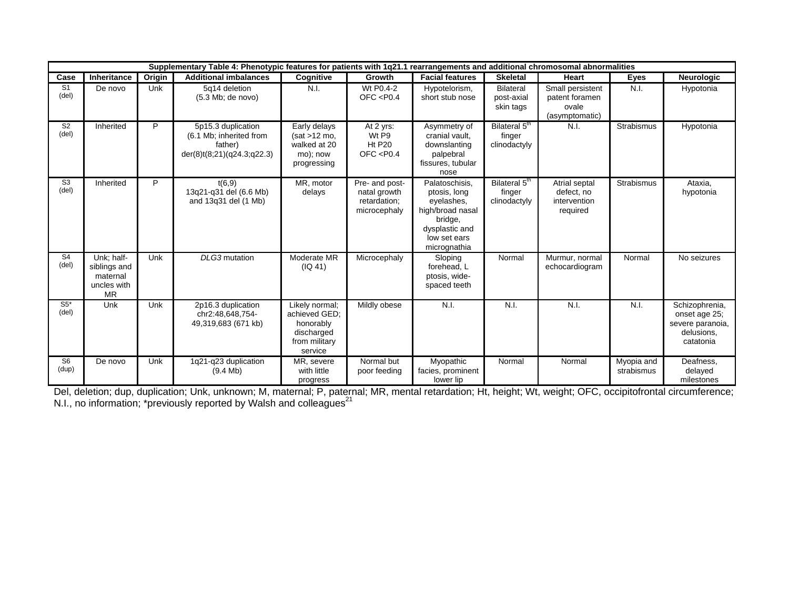|                         |                                                                    |        | Supplementary Table 4: Phenotypic features for patients with 1q21.1 rearrangements and additional chromosomal abnormalities |                                                                                        |                                                                |                                                                                                                               |                                                     |                                                               |                          |                                                                                |
|-------------------------|--------------------------------------------------------------------|--------|-----------------------------------------------------------------------------------------------------------------------------|----------------------------------------------------------------------------------------|----------------------------------------------------------------|-------------------------------------------------------------------------------------------------------------------------------|-----------------------------------------------------|---------------------------------------------------------------|--------------------------|--------------------------------------------------------------------------------|
| Case                    | Inheritance                                                        | Origin | <b>Additional imbalances</b>                                                                                                | Cognitive                                                                              | Growth                                                         | <b>Facial features</b>                                                                                                        | <b>Skeletal</b>                                     | Heart                                                         | <b>Eyes</b>              | Neurologic                                                                     |
| S <sub>1</sub><br>(deI) | De novo                                                            | Unk    | 5q14 deletion<br>$(5.3 \text{ Mb};$ de novo)                                                                                | N.I.                                                                                   | Wt P0.4-2<br>OFC $<$ P0.4                                      | Hypotelorism,<br>short stub nose                                                                                              | <b>Bilateral</b><br>post-axial<br>skin tags         | Small persistent<br>patent foramen<br>ovale<br>(asymptomatic) | N.I.                     | Hypotonia                                                                      |
| S <sub>2</sub><br>(del) | Inherited                                                          | P      | 5p15.3 duplication<br>(6.1 Mb; inherited from<br>father)<br>der(8)t(8;21)(q24.3;q22.3)                                      | Early delays<br>$(sat > 12 \text{ mo})$<br>walked at 20<br>mo); now<br>progressing     | At 2 yrs:<br>Wt P9<br><b>Ht P20</b><br>OFC $<$ P0.4            | Asymmetry of<br>cranial vault.<br>downslanting<br>palpebral<br>fissures, tubular<br>nose                                      | Bilateral 5 <sup>th</sup><br>finger<br>clinodactyly | N.I.                                                          | Strabismus               | Hypotonia                                                                      |
| S <sub>3</sub><br>(del) | Inherited                                                          | P      | t(6,9)<br>13q21-q31 del (6.6 Mb)<br>and 13q31 del (1 Mb)                                                                    | MR, motor<br>delays                                                                    | Pre- and post-<br>natal growth<br>retardation;<br>microcephaly | Palatoschisis,<br>ptosis, long<br>eyelashes,<br>high/broad nasal<br>bridge,<br>dysplastic and<br>low set ears<br>micrognathia | Bilateral 5 <sup>th</sup><br>finger<br>clinodactyly | Atrial septal<br>defect. no<br>intervention<br>required       | Strabismus               | Ataxia,<br>hypotonia                                                           |
| S <sub>4</sub><br>(de)  | Unk; half-<br>siblings and<br>maternal<br>uncles with<br><b>MR</b> | Unk    | DLG3 mutation                                                                                                               | Moderate MR<br>(IQ 41)                                                                 | Microcephaly                                                   | Sloping<br>forehead, L<br>ptosis, wide-<br>spaced teeth                                                                       | Normal                                              | Murmur, normal<br>echocardiogram                              | Normal                   | No seizures                                                                    |
| $S5*$<br>(del)          | Unk                                                                | Unk    | 2p16.3 duplication<br>chr2:48,648,754-<br>49,319,683 (671 kb)                                                               | Likely normal:<br>achieved GED;<br>honorably<br>discharged<br>from military<br>service | Mildly obese                                                   | N.I.                                                                                                                          | N.I.                                                | N.I.                                                          | N.I.                     | Schizophrenia,<br>onset age 25;<br>severe paranoia,<br>delusions,<br>catatonia |
| S <sub>6</sub><br>(dup) | De novo                                                            | Unk    | 1q21-q23 duplication<br>$(9.4$ Mb)                                                                                          | MR, severe<br>with little<br>progress                                                  | Normal but<br>poor feeding                                     | Myopathic<br>facies, prominent<br>lower lip                                                                                   | Normal                                              | Normal                                                        | Myopia and<br>strabismus | Deafness,<br>delayed<br>milestones                                             |

progress lower lip milestones Del, deletion; dup, duplication; Unk, unknown; M, maternal; P, paternal; MR, mental retardation; Ht, height; Wt, weight; OFC, occipitofrontal circumference; N.I., no information; \*previously reported by Walsh and colleagues<sup>21</sup>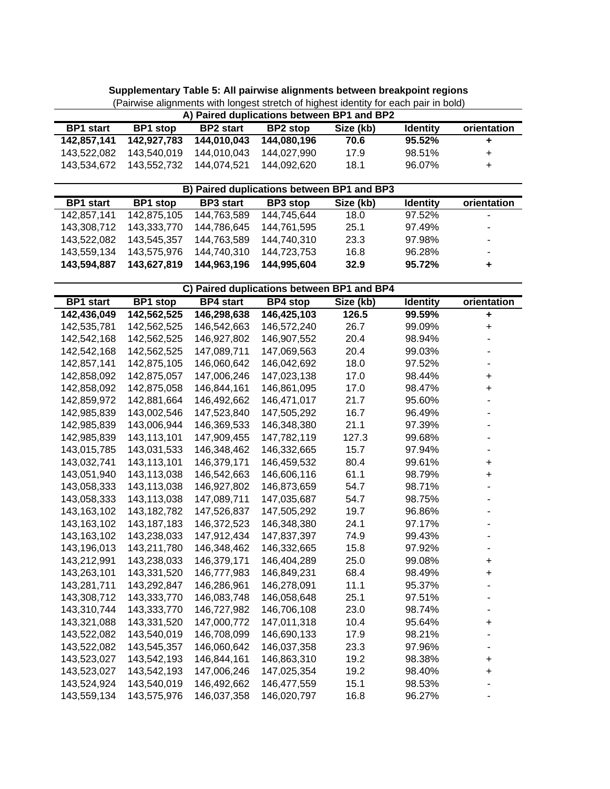| <b>BP1</b> stop | <b>BP2</b> start | <b>BP2</b> stop | Size (kb) | <b>Identity</b> | orientation                                |
|-----------------|------------------|-----------------|-----------|-----------------|--------------------------------------------|
| 142.927.783     | 144.010.043      | 144.080.196     | 70.6      | 95.52%          | ÷                                          |
| 143.540.019     | 144.010.043      | 144.027.990     | 17.9      | 98.51%          | $\pm$                                      |
| 143.552.732     | 144.074.521      | 144.092.620     | 18.1      | 96.07%          | $\pm$                                      |
| 143.534.672     |                  |                 |           |                 | A) Paired duplications between BP1 and BP2 |

**Supplementary Table 5: All pairwise alignments between breakpoint regions** (Pairwise alignments with longest stretch of highest identity for each pair in bold)

|                  |             |                  | B) Paired duplications between BP1 and BP3 |           |                 |             |
|------------------|-------------|------------------|--------------------------------------------|-----------|-----------------|-------------|
| <b>BP1</b> start | BP1 stop    | <b>BP3</b> start | BP3 stop                                   | Size (kb) | <b>Identity</b> | orientation |
| 142.857.141      | 142,875,105 | 144,763,589      | 144.745.644                                | 18.0      | 97.52%          | ۰           |
| 143.308.712      | 143.333.770 | 144,786,645      | 144,761,595                                | 25.1      | 97.49%          |             |
| 143.522.082      | 143.545.357 | 144.763.589      | 144.740.310                                | 23.3      | 97.98%          | ۰           |
| 143.559.134      | 143.575.976 | 144.740.310      | 144,723,753                                | 16.8      | 96.28%          | ۰           |
| 143.594.887      | 143.627.819 | 144,963,196      | 144,995,604                                | 32.9      | 95.72%          | ٠           |

|                  |                 |                  | C) Paired duplications between BP1 and BP4 |           |                 |                      |
|------------------|-----------------|------------------|--------------------------------------------|-----------|-----------------|----------------------|
| <b>BP1</b> start | <b>BP1</b> stop | <b>BP4</b> start | <b>BP4</b> stop                            | Size (kb) | <b>Identity</b> | orientation          |
| 142,436,049      | 142,562,525     | 146,298,638      | 146,425,103                                | 126.5     | 99.59%          | $\ddot{\phantom{1}}$ |
| 142,535,781      | 142,562,525     | 146,542,663      | 146,572,240                                | 26.7      | 99.09%          | $\ddot{}$            |
| 142,542,168      | 142,562,525     | 146,927,802      | 146,907,552                                | 20.4      | 98.94%          |                      |
| 142,542,168      | 142,562,525     | 147,089,711      | 147,069,563                                | 20.4      | 99.03%          |                      |
| 142,857,141      | 142,875,105     | 146,060,642      | 146,042,692                                | 18.0      | 97.52%          |                      |
| 142,858,092      | 142,875,057     | 147,006,246      | 147,023,138                                | 17.0      | 98.44%          | $\ddot{}$            |
| 142,858,092      | 142,875,058     | 146,844,161      | 146,861,095                                | 17.0      | 98.47%          | $\ddot{}$            |
| 142,859,972      | 142,881,664     | 146,492,662      | 146,471,017                                | 21.7      | 95.60%          |                      |
| 142,985,839      | 143,002,546     | 147,523,840      | 147,505,292                                | 16.7      | 96.49%          |                      |
| 142,985,839      | 143,006,944     | 146,369,533      | 146,348,380                                | 21.1      | 97.39%          |                      |
| 142,985,839      | 143,113,101     | 147,909,455      | 147,782,119                                | 127.3     | 99.68%          |                      |
| 143,015,785      | 143,031,533     | 146,348,462      | 146,332,665                                | 15.7      | 97.94%          |                      |
| 143,032,741      | 143,113,101     | 146,379,171      | 146,459,532                                | 80.4      | 99.61%          | $\ddot{}$            |
| 143,051,940      | 143,113,038     | 146,542,663      | 146,606,116                                | 61.1      | 98.79%          | $\ddot{}$            |
| 143,058,333      | 143,113,038     | 146,927,802      | 146,873,659                                | 54.7      | 98.71%          |                      |
| 143,058,333      | 143,113,038     | 147,089,711      | 147,035,687                                | 54.7      | 98.75%          |                      |
| 143,163,102      | 143, 182, 782   | 147,526,837      | 147,505,292                                | 19.7      | 96.86%          |                      |
| 143,163,102      | 143, 187, 183   | 146,372,523      | 146,348,380                                | 24.1      | 97.17%          |                      |
| 143,163,102      | 143,238,033     | 147,912,434      | 147,837,397                                | 74.9      | 99.43%          |                      |
| 143,196,013      | 143,211,780     | 146,348,462      | 146,332,665                                | 15.8      | 97.92%          |                      |
| 143,212,991      | 143,238,033     | 146,379,171      | 146,404,289                                | 25.0      | 99.08%          | $\ddot{}$            |
| 143,263,101      | 143,331,520     | 146,777,983      | 146,849,231                                | 68.4      | 98.49%          | $\ddot{}$            |
| 143,281,711      | 143,292,847     | 146,286,961      | 146,278,091                                | 11.1      | 95.37%          |                      |
| 143,308,712      | 143,333,770     | 146,083,748      | 146,058,648                                | 25.1      | 97.51%          |                      |
| 143,310,744      | 143,333,770     | 146,727,982      | 146,706,108                                | 23.0      | 98.74%          |                      |
| 143,321,088      | 143,331,520     | 147,000,772      | 147,011,318                                | 10.4      | 95.64%          | +                    |
| 143,522,082      | 143,540,019     | 146,708,099      | 146,690,133                                | 17.9      | 98.21%          |                      |
| 143,522,082      | 143,545,357     | 146,060,642      | 146,037,358                                | 23.3      | 97.96%          |                      |
| 143,523,027      | 143,542,193     | 146,844,161      | 146,863,310                                | 19.2      | 98.38%          | $\ddot{}$            |
| 143,523,027      | 143,542,193     | 147,006,246      | 147,025,354                                | 19.2      | 98.40%          | $\ddot{}$            |
| 143,524,924      | 143,540,019     | 146,492,662      | 146,477,559                                | 15.1      | 98.53%          |                      |
| 143,559,134      | 143,575,976     | 146,037,358      | 146,020,797                                | 16.8      | 96.27%          |                      |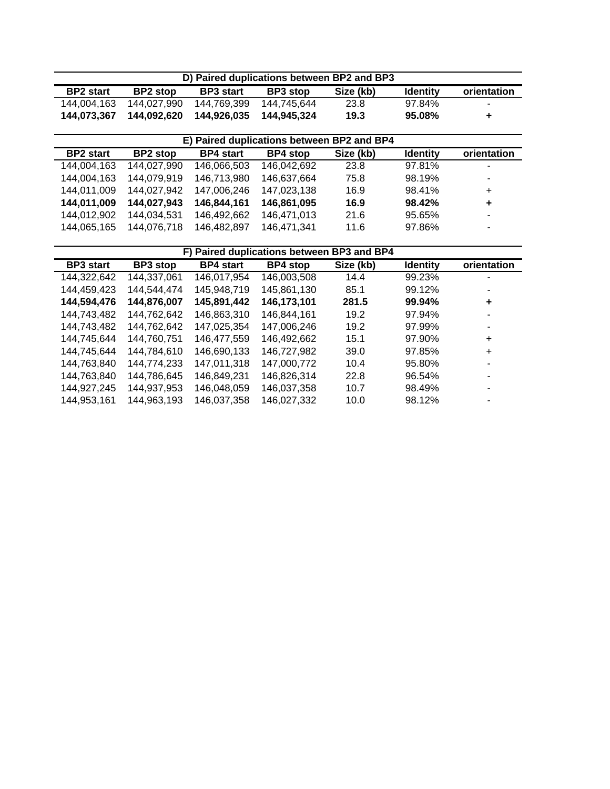|                  |                 |                  | D) Paired duplications between BP2 and BP3 |           |                 |                |
|------------------|-----------------|------------------|--------------------------------------------|-----------|-----------------|----------------|
| <b>BP2</b> start | <b>BP2</b> stop | <b>BP3</b> start | <b>BP3</b> stop                            | Size (kb) | <b>Identity</b> | orientation    |
| 144.004.163      | 144.027.990     | 144.769.399      | 144.745.644                                | 23.8      | 97.84%          | $\blacksquare$ |
| 144.073.367      | 144.092.620     | 144.926.035      | 144.945.324                                | 19.3      | 95.08%          | ٠              |

|                  |                 |                  | E) Paired duplications between BP2 and BP4 |           |                 |             |
|------------------|-----------------|------------------|--------------------------------------------|-----------|-----------------|-------------|
| <b>BP2</b> start | <b>BP2</b> stop | <b>BP4</b> start | <b>BP4</b> stop                            | Size (kb) | <b>Identity</b> | orientation |
| 144,004,163      | 144,027,990     | 146,066,503      | 146,042,692                                | 23.8      | 97.81%          | ۰           |
| 144,004,163      | 144,079,919     | 146,713,980      | 146,637,664                                | 75.8      | 98.19%          | ٠           |
| 144.011.009      | 144,027,942     | 147,006,246      | 147,023,138                                | 16.9      | 98.41%          | $\ddot{}$   |
| 144,011,009      | 144,027,943     | 146,844,161      | 146,861,095                                | 16.9      | 98.42%          | ٠           |
| 144.012.902      | 144.034.531     | 146.492.662      | 146.471.013                                | 21.6      | 95.65%          | ۰           |
| 144.065.165      | 144,076,718     | 146,482,897      | 146,471,341                                | 11.6      | 97.86%          | ۰           |

| F) Paired duplications between BP3 and BP4 |             |                  |                 |           |                 |             |  |  |  |  |  |
|--------------------------------------------|-------------|------------------|-----------------|-----------|-----------------|-------------|--|--|--|--|--|
| <b>BP3</b> start                           | BP3 stop    | <b>BP4</b> start | <b>BP4</b> stop | Size (kb) | <b>Identity</b> | orientation |  |  |  |  |  |
| 144,322,642                                | 144.337.061 | 146,017,954      | 146.003.508     | 14.4      | 99.23%          |             |  |  |  |  |  |
| 144,459,423                                | 144,544,474 | 145,948,719      | 145,861,130     | 85.1      | 99.12%          |             |  |  |  |  |  |
| 144,594,476                                | 144,876,007 | 145,891,442      | 146,173,101     | 281.5     | 99.94%          | ÷           |  |  |  |  |  |
| 144,743,482                                | 144,762,642 | 146,863,310      | 146.844.161     | 19.2      | 97.94%          |             |  |  |  |  |  |
| 144,743,482                                | 144,762,642 | 147,025,354      | 147,006,246     | 19.2      | 97.99%          |             |  |  |  |  |  |
| 144,745,644                                | 144,760,751 | 146,477,559      | 146,492,662     | 15.1      | 97.90%          | $\ddot{}$   |  |  |  |  |  |
| 144.745.644                                | 144.784.610 | 146.690.133      | 146.727.982     | 39.0      | 97.85%          | $\ddot{}$   |  |  |  |  |  |
| 144,763,840                                | 144,774,233 | 147,011,318      | 147,000,772     | 10.4      | 95.80%          | ۰           |  |  |  |  |  |
| 144,763,840                                | 144,786,645 | 146,849,231      | 146.826.314     | 22.8      | 96.54%          | ۰           |  |  |  |  |  |
| 144,927,245                                | 144.937.953 | 146.048.059      | 146.037.358     | 10.7      | 98.49%          | ۰           |  |  |  |  |  |
| 144,953,161                                | 144,963,193 | 146,037,358      | 146,027,332     | 10.0      | 98.12%          |             |  |  |  |  |  |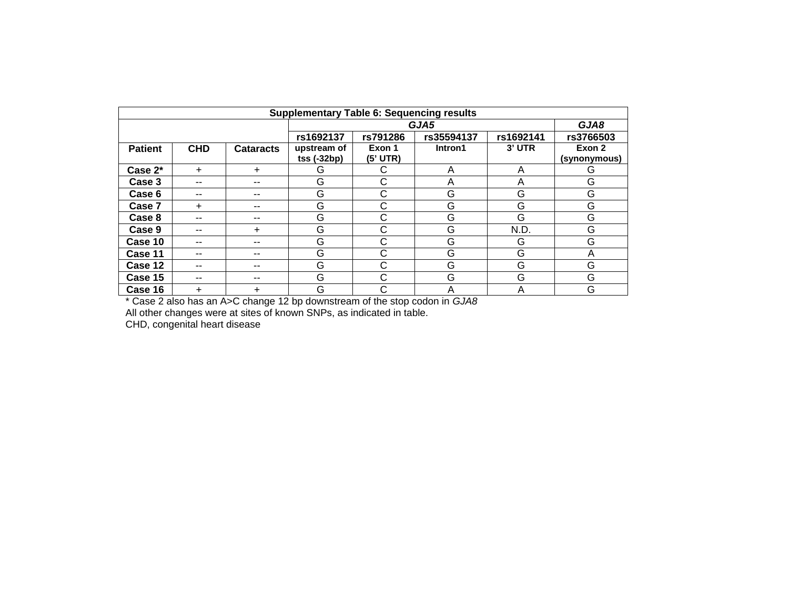| <b>Supplementary Table 6: Sequencing results</b> |            |                  |                   |          |            |           |              |  |  |  |  |
|--------------------------------------------------|------------|------------------|-------------------|----------|------------|-----------|--------------|--|--|--|--|
|                                                  |            |                  |                   | GJA8     |            |           |              |  |  |  |  |
|                                                  |            |                  | rs1692137         | rs791286 | rs35594137 | rs1692141 | rs3766503    |  |  |  |  |
| <b>Patient</b>                                   | <b>CHD</b> | <b>Cataracts</b> | upstream of       | Exon 1   | Intron1    | 3' UTR    | Exon 2       |  |  |  |  |
|                                                  |            |                  | $tss$ (-32 $bp$ ) | (5' UTR) |            |           | (synonymous) |  |  |  |  |
| Case $2^*$                                       | $+$        | ÷.               | G                 | С        | A          | A         | G            |  |  |  |  |
| Case 3                                           | --         | $- -$            | G                 | C        | A          | A         | G            |  |  |  |  |
| Case 6                                           | --         | --               | G                 | C        | G          | G         | G            |  |  |  |  |
| Case 7                                           | +          | --               | G                 | C        | G          | G         | G            |  |  |  |  |
| Case 8                                           | --         | --               | G                 | C        | G          | G         | G            |  |  |  |  |
| Case 9                                           | --         | ÷                | G                 | C        | G          | N.D.      | G            |  |  |  |  |
| Case 10                                          |            | --               | G                 | С        | G          | G         | G            |  |  |  |  |
| Case 11                                          | --         | $- -$            | G                 | C        | G          | G         | A            |  |  |  |  |
| Case 12                                          | --         | --               | G                 | C        | G          | G         | G            |  |  |  |  |
| Case 15                                          | --         | --               | G                 | C        | G          | G         | G            |  |  |  |  |
| Case 16                                          | ÷          | ÷                | G                 | C        | A          | A         | G            |  |  |  |  |

\* Case 2 also has an A>C change 12 bp downstream of the stop codon in *GJA8*

All other changes were at sites of known SNPs, as indicated in table.

CHD, congenital heart disease